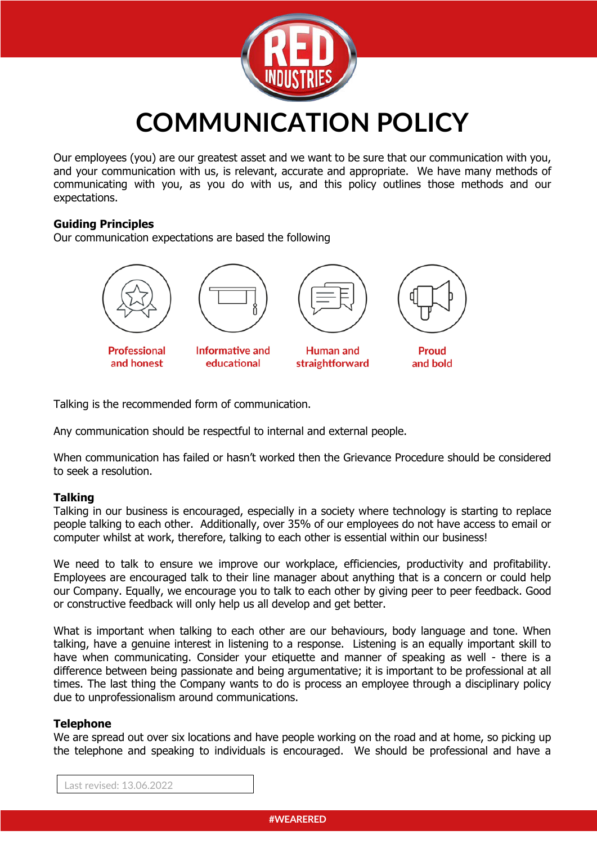

**COMMUNICATION POLICY**

Our employees (you) are our greatest asset and we want to be sure that our communication with you, and your communication with us, is relevant, accurate and appropriate. We have many methods of communicating with you, as you do with us, and this policy outlines those methods and our expectations.

## **Guiding Principles**

Our communication expectations are based the following



and honest

educational



and bold

Talking is the recommended form of communication.

Any communication should be respectful to internal and external people.

When communication has failed or hasn't worked then the Grievance Procedure should be considered to seek a resolution.

## **Talking**

Talking in our business is encouraged, especially in a society where technology is starting to replace people talking to each other. Additionally, over 35% of our employees do not have access to email or computer whilst at work, therefore, talking to each other is essential within our business!

We need to talk to ensure we improve our workplace, efficiencies, productivity and profitability. Employees are encouraged talk to their line manager about anything that is a concern or could help our Company. Equally, we encourage you to talk to each other by giving peer to peer feedback. Good or constructive feedback will only help us all develop and get better.

What is important when talking to each other are our behaviours, body language and tone. When talking, have a genuine interest in listening to a response. Listening is an equally important skill to have when communicating. Consider your etiquette and manner of speaking as well - there is a difference between being passionate and being argumentative; it is important to be professional at all times. The last thing the Company wants to do is process an employee through a disciplinary policy due to unprofessionalism around communications.

#### **Telephone**

We are spread out over six locations and have people working on the road and at home, so picking up the telephone and speaking to individuals is encouraged. We should be professional and have a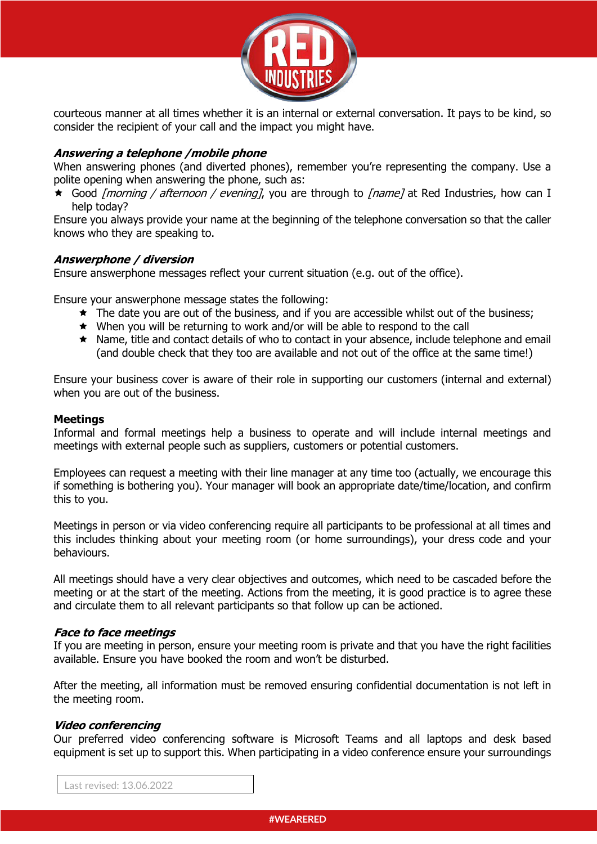

courteous manner at all times whether it is an internal or external conversation. It pays to be kind, so consider the recipient of your call and the impact you might have.

# **Answering a telephone /mobile phone**

When answering phones (and diverted phones), remember you're representing the company. Use a polite opening when answering the phone, such as:

 $\star$  Good *[morning / afternoon / evening]*, you are through to *[name]* at Red Industries, how can I help today?

Ensure you always provide your name at the beginning of the telephone conversation so that the caller knows who they are speaking to.

## **Answerphone / diversion**

Ensure answerphone messages reflect your current situation (e.g. out of the office).

Ensure your answerphone message states the following:

- $\star$  The date you are out of the business, and if you are accessible whilst out of the business;
- ê When you will be returning to work and/or will be able to respond to the call
- ê Name, title and contact details of who to contact in your absence, include telephone and email (and double check that they too are available and not out of the office at the same time!)

Ensure your business cover is aware of their role in supporting our customers (internal and external) when you are out of the business.

## **Meetings**

Informal and formal meetings help a business to operate and will include internal meetings and meetings with external people such as suppliers, customers or potential customers.

Employees can request a meeting with their line manager at any time too (actually, we encourage this if something is bothering you). Your manager will book an appropriate date/time/location, and confirm this to you.

Meetings in person or via video conferencing require all participants to be professional at all times and this includes thinking about your meeting room (or home surroundings), your dress code and your behaviours.

All meetings should have a very clear objectives and outcomes, which need to be cascaded before the meeting or at the start of the meeting. Actions from the meeting, it is good practice is to agree these and circulate them to all relevant participants so that follow up can be actioned.

## **Face to face meetings**

If you are meeting in person, ensure your meeting room is private and that you have the right facilities available. Ensure you have booked the room and won't be disturbed.

After the meeting, all information must be removed ensuring confidential documentation is not left in the meeting room.

#### **Video conferencing**

Our preferred video conferencing software is Microsoft Teams and all laptops and desk based equipment is set up to support this. When participating in a video conference ensure your surroundings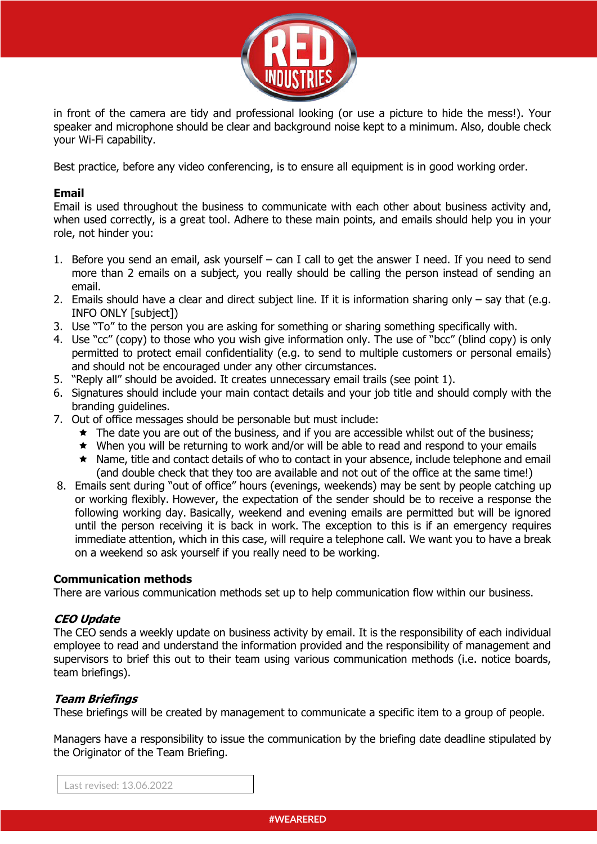

in front of the camera are tidy and professional looking (or use a picture to hide the mess!). Your speaker and microphone should be clear and background noise kept to a minimum. Also, double check your Wi-Fi capability.

Best practice, before any video conferencing, is to ensure all equipment is in good working order.

## **Email**

Email is used throughout the business to communicate with each other about business activity and, when used correctly, is a great tool. Adhere to these main points, and emails should help you in your role, not hinder you:

- 1. Before you send an email, ask yourself can I call to get the answer I need. If you need to send more than 2 emails on a subject, you really should be calling the person instead of sending an email.
- 2. Emails should have a clear and direct subject line. If it is information sharing only say that (e.g. INFO ONLY [subject])
- 3. Use "To" to the person you are asking for something or sharing something specifically with.
- 4. Use "cc" (copy) to those who you wish give information only. The use of "bcc" (blind copy) is only permitted to protect email confidentiality (e.g. to send to multiple customers or personal emails) and should not be encouraged under any other circumstances.
- 5. "Reply all" should be avoided. It creates unnecessary email trails (see point 1).
- 6. Signatures should include your main contact details and your job title and should comply with the branding guidelines.
- 7. Out of office messages should be personable but must include:
	- $\star$  The date you are out of the business, and if you are accessible whilst out of the business;
	- $\star$  When you will be returning to work and/or will be able to read and respond to your emails
	- \* Name, title and contact details of who to contact in your absence, include telephone and email (and double check that they too are available and not out of the office at the same time!)
- 8. Emails sent during "out of office" hours (evenings, weekends) may be sent by people catching up or working flexibly. However, the expectation of the sender should be to receive a response the following working day. Basically, weekend and evening emails are permitted but will be ignored until the person receiving it is back in work. The exception to this is if an emergency requires immediate attention, which in this case, will require a telephone call. We want you to have a break on a weekend so ask yourself if you really need to be working.

## **Communication methods**

There are various communication methods set up to help communication flow within our business.

## **CEO Update**

The CEO sends a weekly update on business activity by email. It is the responsibility of each individual employee to read and understand the information provided and the responsibility of management and supervisors to brief this out to their team using various communication methods (i.e. notice boards, team briefings).

# **Team Briefings**

These briefings will be created by management to communicate a specific item to a group of people.

Managers have a responsibility to issue the communication by the briefing date deadline stipulated by the Originator of the Team Briefing.